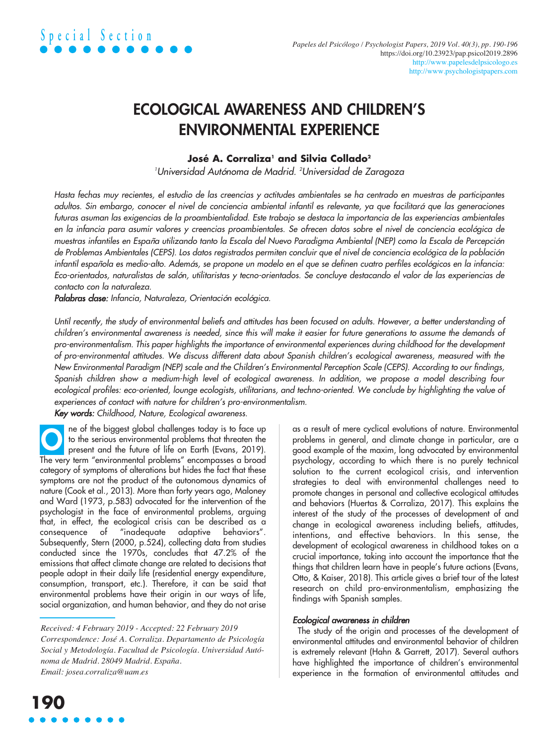### ECOLOGICAL AWARENESS AND CHILDREN'S ENVIRONMENTAL EXPERIENCE

#### **José A. Corraliza1 and Silvia Collado2**

*1 Universidad Autónoma de Madrid. <sup>2</sup> Universidad de Zaragoza*

Hasta fechas muy recientes, el estudio de las creencias y actitudes ambientales se ha centrado en muestras de participantes adultos. Sin embargo, conocer el nivel de conciencia ambiental infantil es relevante, ya que facilitará que las generaciones futuras asuman las exigencias de la proambientalidad. Este trabajo se destaca la importancia de las experiencias ambientales en la infancia para asumir valores y creencias proambientales. Se ofrecen datos sobre el nivel de conciencia ecológica de muestras infantiles en España utilizando tanto la Escala del Nuevo Paradigma Ambiental (NEP) como la Escala de Percepción de Problemas Ambientales (CEPS). Los datos registrados permiten concluir que el nivel de conciencia ecológica de la población infantil española es medio-alto. Además, se propone un modelo en el que se definen cuatro perfiles ecológicos en la infancia: Eco-orientados, naturalistas de salón, utilitaristas y tecno-orientados. Se concluye destacando el valor de las experiencias de *contacto con la naturaleza.*

*Palabras clase: Infancia, Naturaleza, Orientación ecológica.*

Until recently, the study of environmental beliefs and attitudes has been focused on adults. However, a better understanding of children's environmental awareness is needed, since this will make it easier for future generations to assume the demands of *pro-environmentalism. This paper highlights the importance of environmental experiences during childhood for the development* of pro-environmental attitudes. We discuss different data about Spanish children's ecological awareness, measured with the New Environmental Paradigm (NEP) scale and the Children's Environmental Perception Scale (CEPS). According to our findings, Spanish children show a medium-high level of ecological awareness. In addition, we propose a model describing four ecological profiles: eco-oriented, lounge ecologists, utilitarians, and techno-oriented. We conclude by highlighting the value of *experiences of contact with nature for children's pro-environmentalism.*

*Key words: Childhood, Nature, Ecological awareness.*

ne of the biggest global challenges today is to face up to the serious environmental problems that threaten the present and the future of life on Earth (Evans, 2019). The very term "environmental problems" encompasses a broad category of symptoms of alterations but hides the fact that these symptoms are not the product of the autonomous dynamics of nature (Cook et al., 2013). More than forty years ago, Maloney and Ward (1973, p.583) advocated for the intervention of the psychologist in the face of environmental problems, arguing that, in effect, the ecological crisis can be described as a consequence of "inadequate adaptive behaviors". Subsequently, Stern (2000, p.524), collecting data from studies conducted since the 1970s, concludes that 47.2% of the emissions that affect climate change are related to decisions that people adopt in their daily life (residential energy expenditure, consumption, transport, etc.). Therefore, it can be said that environmental problems have their origin in our ways of life, social organization, and human behavior, and they do not arise O

*Received: 4 February 2019 - Accepted: 22 February 2019 Correspondence: José A. Corraliza. Departamento de Psicología Social y Metodología. Facultad de Psicología. Universidad Autónoma de Madrid. 28049 Madrid. España. Email: [josea.corraliza@uam.es](mailto:josea.corraliza@uam.es)*

as a result of mere cyclical evolutions of nature. Environmental problems in general, and climate change in particular, are a good example of the maxim, long advocated by environmental psychology, according to which there is no purely technical solution to the current ecological crisis, and intervention strategies to deal with environmental challenges need to promote changes in personal and collective ecological attitudes and behaviors (Huertas & Corraliza, 2017). This explains the interest of the study of the processes of development of and change in ecological awareness including beliefs, attitudes, intentions, and effective behaviors. In this sense, the development of ecological awareness in childhood takes on a crucial importance, taking into account the importance that the things that children learn have in people's future actions (Evans, Otto, & Kaiser, 2018). This article gives a brief tour of the latest research on child pro-environmentalism, emphasizing the findings with Spanish samples.

#### *Ecological awareness in children*

The study of the origin and processes of the development of environmental attitudes and environmental behavior of children is extremely relevant (Hahn & Garrett, 2017). Several authors have highlighted the importance of children's environmental experience in the formation of environmental attitudes and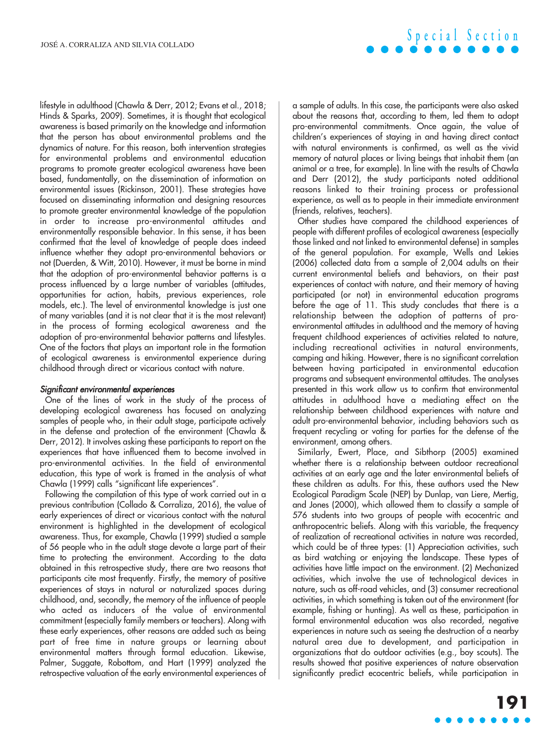lifestyle in adulthood (Chawla & Derr, 2012; Evans et al., 2018; Hinds & Sparks, 2009). Sometimes, it is thought that ecological awareness is based primarily on the knowledge and information that the person has about environmental problems and the dynamics of nature. For this reason, both intervention strategies for environmental problems and environmental education programs to promote greater ecological awareness have been based, fundamentally, on the dissemination of information on environmental issues (Rickinson, 2001). These strategies have focused on disseminating information and designing resources to promote greater environmental knowledge of the population in order to increase pro-environmental attitudes and environmentally responsible behavior. In this sense, it has been confirmed that the level of knowledge of people does indeed influence whether they adopt pro-environmental behaviors or not (Duerden, & Witt, 2010). However, it must be borne in mind that the adoption of pro-environmental behavior patterns is a process influenced by a large number of variables (attitudes, opportunities for action, habits, previous experiences, role models, etc.). The level of environmental knowledge is just one of many variables (and it is not clear that it is the most relevant) in the process of forming ecological awareness and the adoption of pro-environmental behavior patterns and lifestyles. One of the factors that plays an important role in the formation of ecological awareness is environmental experience during childhood through direct or vicarious contact with nature.

#### *Significant environmental experiences*

One of the lines of work in the study of the process of developing ecological awareness has focused on analyzing samples of people who, in their adult stage, participate actively in the defense and protection of the environment (Chawla & Derr, 2012). It involves asking these participants to report on the experiences that have influenced them to become involved in pro-environmental activities. In the field of environmental education, this type of work is framed in the analysis of what Chawla (1999) calls "significant life experiences".

Following the compilation of this type of work carried out in a previous contribution (Collado & Corraliza, 2016), the value of early experiences of direct or vicarious contact with the natural environment is highlighted in the development of ecological awareness. Thus, for example, Chawla (1999) studied a sample of 56 people who in the adult stage devote a large part of their time to protecting the environment. According to the data obtained in this retrospective study, there are two reasons that participants cite most frequently. Firstly, the memory of positive experiences of stays in natural or naturalized spaces during childhood, and, secondly, the memory of the influence of people who acted as inducers of the value of environmental commitment (especially family members or teachers). Along with these early experiences, other reasons are added such as being part of free time in nature groups or learning about environmental matters through formal education. Likewise, Palmer, Suggate, Robottom, and Hart (1999) analyzed the retrospective valuation of the early environmental experiences of a sample of adults. In this case, the participants were also asked about the reasons that, according to them, led them to adopt pro-environmental commitments. Once again, the value of children's experiences of staying in and having direct contact with natural environments is confirmed, as well as the vivid memory of natural places or living beings that inhabit them (an animal or a tree, for example). In line with the results of Chawla and Derr (2012), the study participants noted additional reasons linked to their training process or professional experience, as well as to people in their immediate environment (friends, relatives, teachers).

Other studies have compared the childhood experiences of people with different profiles of ecological awareness (especially those linked and not linked to environmental defense) in samples of the general population. For example, Wells and Lekies (2006) collected data from a sample of 2,004 adults on their current environmental beliefs and behaviors, on their past experiences of contact with nature, and their memory of having participated (or not) in environmental education programs before the age of 11. This study concludes that there is a relationship between the adoption of patterns of proenvironmental attitudes in adulthood and the memory of having frequent childhood experiences of activities related to nature, including recreational activities in natural environments, camping and hiking. However, there is no significant correlation between having participated in environmental education programs and subsequent environmental attitudes. The analyses presented in this work allow us to confirm that environmental attitudes in adulthood have a mediating effect on the relationship between childhood experiences with nature and adult pro-environmental behavior, including behaviors such as frequent recycling or voting for parties for the defense of the environment, among others.

Similarly, Ewert, Place, and Sibthorp (2005) examined whether there is a relationship between outdoor recreational activities at an early age and the later environmental beliefs of these children as adults. For this, these authors used the New Ecological Paradigm Scale (NEP) by Dunlap, van Liere, Mertig, and Jones (2000), which allowed them to classify a sample of 576 students into two groups of people with ecocentric and anthropocentric beliefs. Along with this variable, the frequency of realization of recreational activities in nature was recorded, which could be of three types: (1) Appreciation activities, such as bird watching or enjoying the landscape. These types of activities have little impact on the environment. (2) Mechanized activities, which involve the use of technological devices in nature, such as off-road vehicles, and (3) consumer recreational activities, in which something is taken out of the environment (for example, fishing or hunting). As well as these, participation in formal environmental education was also recorded, negative experiences in nature such as seeing the destruction of a nearby natural area due to development, and participation in organizations that do outdoor activities (e.g., boy scouts). The results showed that positive experiences of nature observation significantly predict ecocentric beliefs, while participation in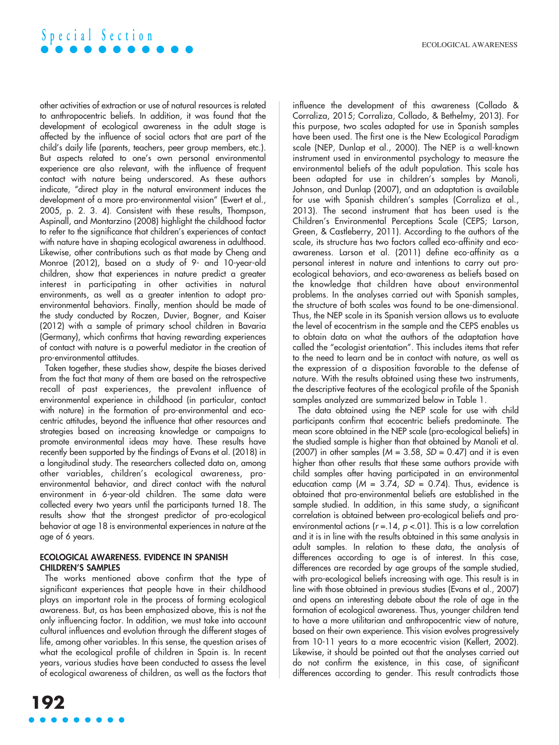# **S p e c i a l S e c t i o n**

other activities of extraction or use of natural resources is related to anthropocentric beliefs. In addition, it was found that the development of ecological awareness in the adult stage is affected by the influence of social actors that are part of the child's daily life (parents, teachers, peer group members, etc.). But aspects related to one's own personal environmental experience are also relevant, with the influence of frequent contact with nature being underscored. As these authors indicate, "direct play in the natural environment induces the development of a more pro-environmental vision" (Ewert et al., 2005, p. 2. 3. 4). Consistent with these results, Thompson, Aspinall, and Montarzino (2008) highlight the childhood factor to refer to the significance that children's experiences of contact with nature have in shaping ecological awareness in adulthood. Likewise, other contributions such as that made by Cheng and Monroe (2012), based on a study of 9- and 10-year-old children, show that experiences in nature predict a greater interest in participating in other activities in natural environments, as well as a greater intention to adopt proenvironmental behaviors. Finally, mention should be made of the study conducted by Roczen, Duvier, Bogner, and Kaiser (2012) with a sample of primary school children in Bavaria (Germany), which confirms that having rewarding experiences of contact with nature is a powerful mediator in the creation of pro-environmental attitudes.

Taken together, these studies show, despite the biases derived from the fact that many of them are based on the retrospective recall of past experiences, the prevalent influence of environmental experience in childhood (in particular, contact with nature) in the formation of pro-environmental and ecocentric attitudes, beyond the influence that other resources and strategies based on increasing knowledge or campaigns to promote environmental ideas may have. These results have recently been supported by the findings of Evans et al. (2018) in a longitudinal study. The researchers collected data on, among other variables, children's ecological awareness, proenvironmental behavior, and direct contact with the natural environment in 6-year-old children. The same data were collected every two years until the participants turned 18. The results show that the strongest predictor of pro-ecological behavior at age 18 is environmental experiences in nature at the age of 6 years.

#### ECOLOGICAL AWARENESS. EVIDENCE IN SPANISH CHILDREN'S SAMPLES

The works mentioned above confirm that the type of significant experiences that people have in their childhood plays an important role in the process of forming ecological awareness. But, as has been emphasized above, this is not the only influencing factor. In addition, we must take into account cultural influences and evolution through the different stages of life, among other variables. In this sense, the question arises of what the ecological profile of children in Spain is. In recent years, various studies have been conducted to assess the level of ecological awareness of children, as well as the factors that influence the development of this awareness (Collado & Corraliza, 2015; Corraliza, Collado, & Bethelmy, 2013). For this purpose, two scales adapted for use in Spanish samples have been used. The first one is the New Ecological Paradigm scale (NEP, Dunlap et al., 2000). The NEP is a well-known instrument used in environmental psychology to measure the environmental beliefs of the adult population. This scale has been adapted for use in children's samples by Manoli, Johnson, and Dunlap (2007), and an adaptation is available for use with Spanish children's samples (Corraliza et al., 2013). The second instrument that has been used is the Children's Environmental Perceptions Scale (CEPS; Larson, Green, & Castleberry, 2011). According to the authors of the scale, its structure has two factors called eco-affinity and ecoawareness. Larson et al. (2011) define eco-affinity as a personal interest in nature and intentions to carry out proecological behaviors, and eco-awareness as beliefs based on the knowledge that children have about environmental problems. In the analyses carried out with Spanish samples, the structure of both scales was found to be one-dimensional. Thus, the NEP scale in its Spanish version allows us to evaluate the level of ecocentrism in the sample and the CEPS enables us to obtain data on what the authors of the adaptation have called the "ecologist orientation". This includes items that refer to the need to learn and be in contact with nature, as well as the expression of a disposition favorable to the defense of nature. With the results obtained using these two instruments, the descriptive features of the ecological profile of the Spanish samples analyzed are summarized below in Table 1.

The data obtained using the NEP scale for use with child participants confirm that ecocentric beliefs predominate. The mean score obtained in the NEP scale (pro-ecological beliefs) in the studied sample is higher than that obtained by Manoli et al. (2007) in other samples (*M* = 3.58, *SD* = 0.47) and it is even higher than other results that these same authors provide with child samples after having participated in an environmental education camp  $(M = 3.74, SD = 0.74)$ . Thus, evidence is obtained that pro-environmental beliefs are established in the sample studied. In addition, in this same study, a significant correlation is obtained between pro-ecological beliefs and proenvironmental actions (*r* =.14, *p* <.01). This is a low correlation and it is in line with the results obtained in this same analysis in adult samples. In relation to these data, the analysis of differences according to age is of interest. In this case, differences are recorded by age groups of the sample studied, with pro-ecological beliefs increasing with age. This result is in line with those obtained in previous studies (Evans et al., 2007) and opens an interesting debate about the role of age in the formation of ecological awareness. Thus, younger children tend to have a more utilitarian and anthropocentric view of nature, based on their own experience. This vision evolves progressively from 10-11 years to a more ecocentric vision (Kellert, 2002). Likewise, it should be pointed out that the analyses carried out do not confirm the existence, in this case, of significant differences according to gender. This result contradicts those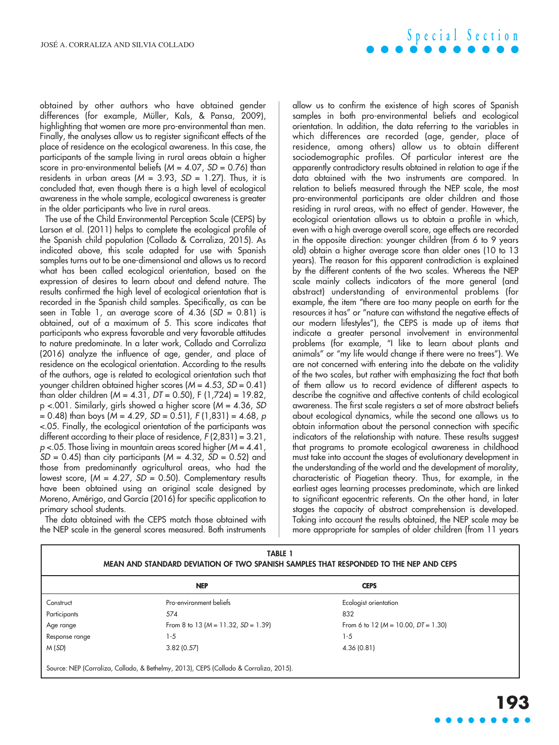obtained by other authors who have obtained gender differences (for example, Müller, Kals, & Pansa, 2009), highlighting that women are more pro-environmental than men. Finally, the analyses allow us to register significant effects of the place of residence on the ecological awareness. In this case, the participants of the sample living in rural areas obtain a higher score in pro-environmental beliefs (*M* = 4.07, *SD* = 0.76) than residents in urban areas  $(M = 3.93, SD = 1.27)$ . Thus, it is concluded that, even though there is a high level of ecological awareness in the whole sample, ecological awareness is greater in the older participants who live in rural areas.

The use of the Child Environmental Perception Scale (CEPS) by Larson et al. (2011) helps to complete the ecological profile of the Spanish child population (Collado & Corraliza, 2015). As indicated above, this scale adapted for use with Spanish samples turns out to be one-dimensional and allows us to record what has been called ecological orientation, based on the expression of desires to learn about and defend nature. The results confirmed the high level of ecological orientation that is recorded in the Spanish child samples. Specifically, as can be seen in Table 1, an average score of 4.36 (*SD* = 0.81) is obtained, out of a maximum of 5. This score indicates that participants who express favorable and very favorable attitudes to nature predominate. In a later work, Collado and Corraliza (2016) analyze the influence of age, gender, and place of residence on the ecological orientation. According to the results of the authors, age is related to ecological orientation such that younger children obtained higher scores (*M* = 4.53, *SD* = 0.41) than older children (*M* = 4.31, *DT* = 0.50), F (1,724) = 19.82, p <.001. Similarly, girls showed a higher score (*M* = 4.36, *SD* = 0.48) than boys (*M* = 4.29, *SD* = 0.51), *F* (1,831) = 4.68, *p* <.05. Finally, the ecological orientation of the participants was different according to their place of residence, *F* (2,831) = 3.21, *p* <.05. Those living in mountain areas scored higher (*M* = 4.41, *SD* = 0.45) than city participants (*M* = 4.32, *SD* = 0.52) and those from predominantly agricultural areas, who had the lowest score, (*M* = 4.27, *SD* = 0.50). Complementary results have been obtained using an original scale designed by Moreno, Amérigo, and García (2016) for specific application to primary school students.

The data obtained with the CEPS match those obtained with the NEP scale in the general scores measured. Both instruments

allow us to confirm the existence of high scores of Spanish samples in both pro-environmental beliefs and ecological orientation. In addition, the data referring to the variables in which differences are recorded (age, gender, place of residence, among others) allow us to obtain different sociodemographic profiles. Of particular interest are the apparently contradictory results obtained in relation to age if the data obtained with the two instruments are compared. In relation to beliefs measured through the NEP scale, the most pro-environmental participants are older children and those residing in rural areas, with no effect of gender. However, the ecological orientation allows us to obtain a profile in which, even with a high average overall score, age effects are recorded in the opposite direction: younger children (from 6 to 9 years old) obtain a higher average score than older ones (10 to 13 years). The reason for this apparent contradiction is explained by the different contents of the two scales. Whereas the NEP scale mainly collects indicators of the more general (and abstract) understanding of environmental problems (for example, the item "there are too many people on earth for the resources it has" or "nature can withstand the negative effects of our modern lifestyles"), the CEPS is made up of items that indicate a greater personal involvement in environmental problems (for example, "I like to learn about plants and animals" or "my life would change if there were no trees"). We are not concerned with entering into the debate on the validity of the two scales, but rather with emphasizing the fact that both of them allow us to record evidence of different aspects to describe the cognitive and affective contents of child ecological awareness. The first scale registers a set of more abstract beliefs about ecological dynamics, while the second one allows us to obtain information about the personal connection with specific indicators of the relationship with nature. These results suggest that programs to promote ecological awareness in childhood must take into account the stages of evolutionary development in the understanding of the world and the development of morality, characteristic of Piagetian theory. Thus, for example, in the earliest ages learning processes predominate, which are linked to significant egocentric referents. On the other hand, in later stages the capacity of abstract comprehension is developed. Taking into account the results obtained, the NEP scale may be more appropriate for samples of older children (from 11 years

| <b>TABLE 1</b><br>MEAN AND STANDARD DEVIATION OF TWO SPANISH SAMPLES THAT RESPONDED TO THE NEP AND CEPS |                                                                                       |                                            |  |
|---------------------------------------------------------------------------------------------------------|---------------------------------------------------------------------------------------|--------------------------------------------|--|
|                                                                                                         | <b>NEP</b>                                                                            | <b>CEPS</b>                                |  |
| Construct                                                                                               | Pro-environment beliefs                                                               | Ecologist orientation                      |  |
| Participants                                                                                            | 574                                                                                   | 832                                        |  |
| Age range                                                                                               | From 8 to 13 $(M = 11.32, SD = 1.39)$                                                 | From 6 to 12 ( $M = 10.00$ , $DT = 1.30$ ) |  |
| Response range                                                                                          | $1 - 5$                                                                               | $1 - 5$                                    |  |
| M(SD)                                                                                                   | 3.82(0.57)                                                                            | 4.36(0.81)                                 |  |
|                                                                                                         | Source: NEP (Corraliza, Collado, & Bethelmy, 2013), CEPS (Collado & Corraliza, 2015). |                                            |  |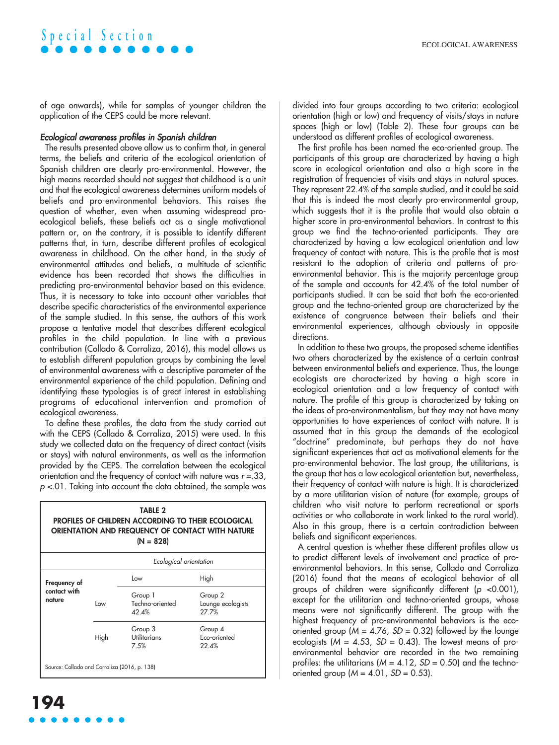### **S p e c i a l S e c t i o n**

of age onwards), while for samples of younger children the application of the CEPS could be more relevant.

#### *Ecological awareness profiles in Spanish children*

The results presented above allow us to confirm that, in general terms, the beliefs and criteria of the ecological orientation of Spanish children are clearly pro-environmental. However, the high means recorded should not suggest that childhood is a unit and that the ecological awareness determines uniform models of beliefs and pro-environmental behaviors. This raises the question of whether, even when assuming widespread proecological beliefs, these beliefs act as a single motivational pattern or, on the contrary, it is possible to identify different patterns that, in turn, describe different profiles of ecological awareness in childhood. On the other hand, in the study of environmental attitudes and beliefs, a multitude of scientific evidence has been recorded that shows the difficulties in predicting pro-environmental behavior based on this evidence. Thus, it is necessary to take into account other variables that describe specific characteristics of the environmental experience of the sample studied. In this sense, the authors of this work propose a tentative model that describes different ecological profiles in the child population. In line with a previous contribution (Collado & Corraliza, 2016), this model allows us to establish different population groups by combining the level of environmental awareness with a descriptive parameter of the environmental experience of the child population. Defining and identifying these typologies is of great interest in establishing programs of educational intervention and promotion of ecological awareness.

To define these profiles, the data from the study carried out with the CEPS (Collado & Corraliza, 2015) were used. In this study we collected data on the frequency of direct contact (visits or stays) with natural environments, as well as the information provided by the CEPS. The correlation between the ecological orientation and the frequency of contact with nature was *r* =.33, *p* <.01. Taking into account the data obtained, the sample was

#### TABLE 2 PROFILES OF CHILDREN ACCORDING TO THEIR ECOLOGICAL ORIENTATION AND FREQUENCY OF CONTACT WITH NATURE  $(N = 828)$ Frequency of contact with nature *Ecological orientation* Low High Group 1 Group 2 Low Techno-oriented Lounge ecologists 42.4% 27.7%

Group 3 Group 4 High Utilitarians Eco-oriented 7.5% 22.4% Source: Collado and Corraliza (2016, p. 138)

divided into four groups according to two criteria: ecological orientation (high or low) and frequency of visits/stays in nature spaces (high or low) (Table 2). These four groups can be understood as different profiles of ecological awareness.

The first profile has been named the eco-oriented group. The participants of this group are characterized by having a high score in ecological orientation and also a high score in the registration of frequencies of visits and stays in natural spaces. They represent 22.4% of the sample studied, and it could be said that this is indeed the most clearly pro-environmental group, which suggests that it is the profile that would also obtain a higher score in pro-environmental behaviors. In contrast to this group we find the techno-oriented participants. They are characterized by having a low ecological orientation and low frequency of contact with nature. This is the profile that is most resistant to the adoption of criteria and patterns of proenvironmental behavior. This is the majority percentage group of the sample and accounts for 42.4% of the total number of participants studied. It can be said that both the eco-oriented group and the techno-oriented group are characterized by the existence of congruence between their beliefs and their environmental experiences, although obviously in opposite directions.

In addition to these two groups, the proposed scheme identifies two others characterized by the existence of a certain contrast between environmental beliefs and experience. Thus, the lounge ecologists are characterized by having a high score in ecological orientation and a low frequency of contact with nature. The profile of this group is characterized by taking on the ideas of pro-environmentalism, but they may not have many opportunities to have experiences of contact with nature. It is assumed that in this group the demands of the ecological "doctrine" predominate, but perhaps they do not have significant experiences that act as motivational elements for the pro-environmental behavior. The last group, the utilitarians, is the group that has a low ecological orientation but, nevertheless, their frequency of contact with nature is high. It is characterized by a more utilitarian vision of nature (for example, groups of children who visit nature to perform recreational or sports activities or who collaborate in work linked to the rural world). Also in this group, there is a certain contradiction between beliefs and significant experiences.

A central question is whether these different profiles allow us to predict different levels of involvement and practice of proenvironmental behaviors. In this sense, Collado and Corraliza (2016) found that the means of ecological behavior of all groups of children were significantly different (*p* <0.001), except for the utilitarian and techno-oriented groups, whose means were not significantly different. The group with the highest frequency of pro-environmental behaviors is the ecooriented group (*M* = 4.76, *SD* = 0.32) followed by the lounge ecologists  $(M = 4.53, SD = 0.43)$ . The lowest means of proenvironmental behavior are recorded in the two remaining profiles: the utilitarians  $(M = 4.12, SD = 0.50)$  and the technooriented group  $(M = 4.01, SD = 0.53)$ .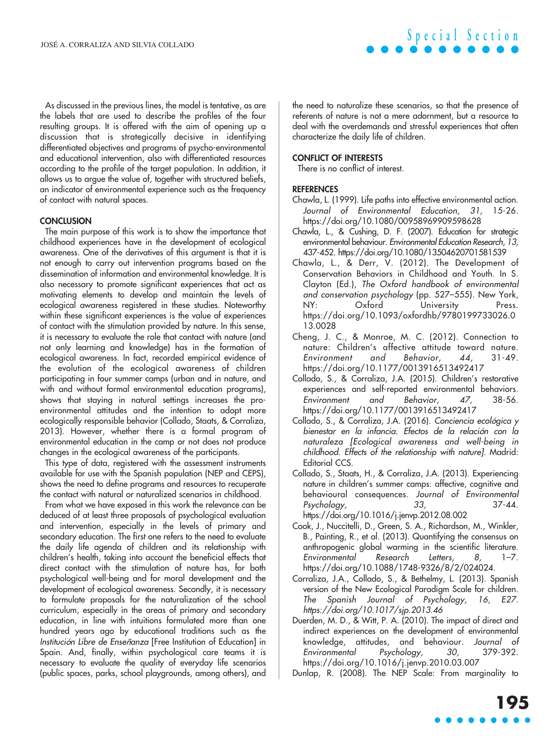As discussed in the previous lines, the model is tentative, as are the labels that are used to describe the profiles of the four resulting groups. It is offered with the aim of opening up a discussion that is strategically decisive in identifying differentiated objectives and programs of psycho-environmental and educational intervention, also with differentiated resources according to the profile of the target population. In addition, it allows us to argue the value of, together with structured beliefs, an indicator of environmental experience such as the frequency of contact with natural spaces.

#### **CONCLUSION**

The main purpose of this work is to show the importance that childhood experiences have in the development of ecological awareness. One of the derivatives of this argument is that it is not enough to carry out intervention programs based on the dissemination of information and environmental knowledge. It is also necessary to promote significant experiences that act as motivating elements to develop and maintain the levels of ecological awareness registered in these studies. Noteworthy within these significant experiences is the value of experiences of contact with the stimulation provided by nature. In this sense, it is necessary to evaluate the role that contact with nature (and not only learning and knowledge) has in the formation of ecological awareness. In fact, recorded empirical evidence of the evolution of the ecological awareness of children participating in four summer camps (urban and in nature, and with and without formal environmental education programs), shows that staying in natural settings increases the proenvironmental attitudes and the intention to adopt more ecologically responsible behavior (Collado, Staats, & Corraliza, 2013). However, whether there is a formal program of environmental education in the camp or not does not produce changes in the ecological awareness of the participants.

This type of data, registered with the assessment instruments available for use with the Spanish population (NEP and CEPS), shows the need to define programs and resources to recuperate the contact with natural or naturalized scenarios in childhood.

From what we have exposed in this work the relevance can be deduced of at least three proposals of psychological evaluation and intervention, especially in the levels of primary and secondary education. The first one refers to the need to evaluate the daily life agenda of children and its relationship with children's health, taking into account the beneficial effects that direct contact with the stimulation of nature has, for both psychological well-being and for moral development and the development of ecological awareness. Secondly, it is necessary to formulate proposals for the naturalization of the school curriculum, especially in the areas of primary and secondary education, in line with intuitions formulated more than one hundred years ago by educational traditions such as the *Institución Libre de Enseñanza* [Free Institution of Education] in Spain. And, finally, within psychological care teams it is necessary to evaluate the quality of everyday life scenarios (public spaces, parks, school playgrounds, among others), and the need to naturalize these scenarios, so that the presence of referents of nature is not a mere adornment, but a resource to deal with the overdemands and stressful experiences that often characterize the daily life of children.

**S p e c i a l S e c t i o n**

#### CONFLICT OF INTERESTS

There is no conflict of interest.

#### **REFERENCES**

- Chawla, L. (1999). Life paths into effective environmental action. *Journal of Environmental Education, 31,* 15-26. <https://doi.org/10.1080/00958969909598628>
- Chawla, L., & Cushing, D. F. (2007). Education for strategic environmental behaviour. *Environmental Education Research, 13,* 437-452. <https://doi.org/10.1080/13504620701581539>
- Chawla, L., & Derr, V. (2012). The Development of Conservation Behaviors in Childhood and Youth. In S. Clayton (Ed.), *The Oxford handbook of environmental and conservation psychology* (pp. 527–555). New York, NY: Oxford University Press. [https://doi.org/10.1093/oxfordhb/9780199733026.0](https://doi.org/10.1093/oxfordhb/9780199733026.013.0028) [13.0028](https://doi.org/10.1093/oxfordhb/9780199733026.013.0028)
- Cheng, J. C., & Monroe, M. C. (2012). Connection to nature: Children's affective attitude toward nature. *Environment and Behavior, 44,* 31-49. <https://doi.org/10.1177/0013916513492417>
- Collado, S., & Corraliza, J.A. (2015). Children's restorative experiences and self-reported environmental behaviors. *Environment and Behavior, 47,* 38-56. <https://doi.org/10.1177/0013916513492417>
- Collado, S., & Corraliza, J.A. (2016). *Conciencia ecológica y bienestar en la infancia. Efectos de la relación con la naturaleza [Ecological awareness and well-being in childhood. Effects of the relationship with nature].* Madrid: Editorial CCS.
- Collado, S., Staats, H., & Corraliza, J.A. (2013). Experiencing nature in children's summer camps: affective, cognitive and behavioural consequences. *Journal of Environmental Psychology, 33,* 37-44. <https://doi.org/10.1016/j.jenvp.2012.08.002>
- Cook, J., Nuccitelli, D., Green, S. A., Richardson, M., Winkler, B., Painting, R., et al. (2013). Quantifying the consensus on anthropogenic global warming in the scientific literature. *Environmental Research Letters, 8,* 1–7. [https://doi.org/10.1088/1748-9326/8/2/024024.](https://doi.org/10.1088/1748-9326/8/2/024024)
- Corraliza, J.A., Collado, S., & Bethelmy, L. (2013). Spanish version of the New Ecological Paradigm Scale for children. *The Spanish Journal of Psychology, 16, E27. <https://doi.org/10.1017/sjp.2013.46>*
- Duerden, M. D., & Witt, P. A. (2010). The impact of direct and indirect experiences on the development of environmental knowledge, attitudes, and behaviour. *Journal of Environmental Psychology, 30,* 379-392. <https://doi.org/10.1016/j.jenvp.2010.03.007>

Dunlap, R. (2008). The NEP Scale: From marginality to